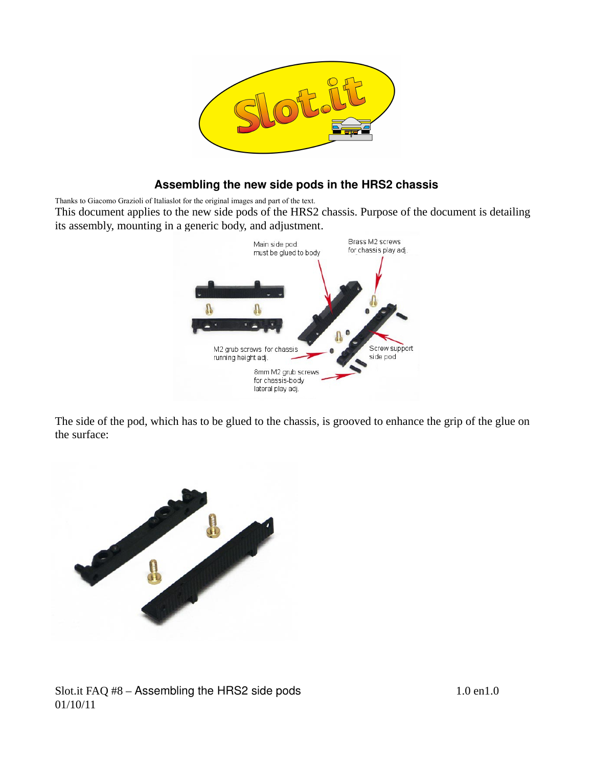

## **Assembling the new side pods in the HRS2 chassis**

Thanks to Giacomo Grazioli of Italiaslot for the original images and part of the text.

This document applies to the new side pods of the HRS2 chassis. Purpose of the document is detailing its assembly, mounting in a generic body, and adjustment.



The side of the pod, which has to be glued to the chassis, is grooved to enhance the grip of the glue on the surface:

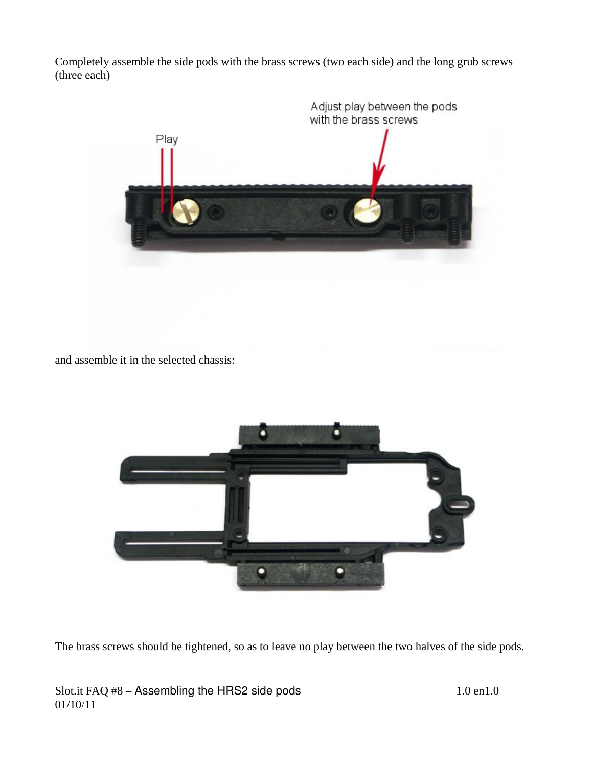Completely assemble the side pods with the brass screws (two each side) and the long grub screws (three each)



and assemble it in the selected chassis:



The brass screws should be tightened, so as to leave no play between the two halves of the side pods.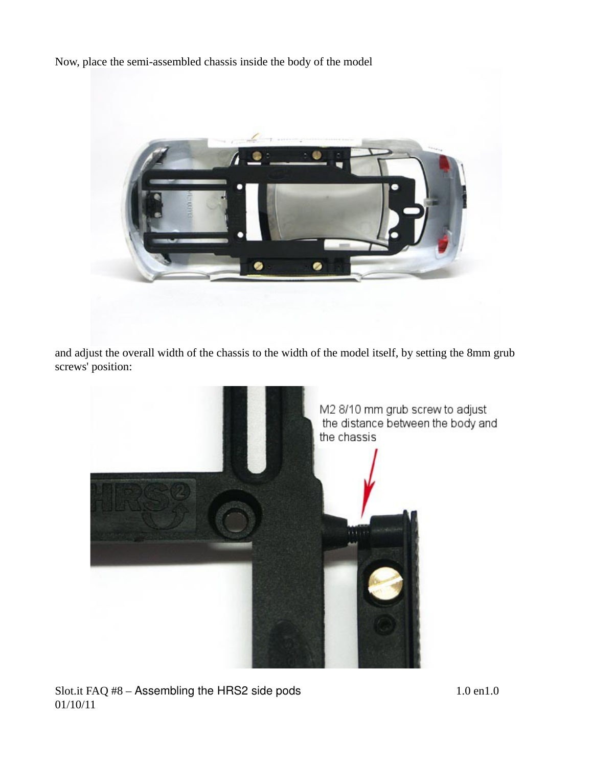Now, place the semi-assembled chassis inside the body of the model



and adjust the overall width of the chassis to the width of the model itself, by setting the 8mm grub screws' position:

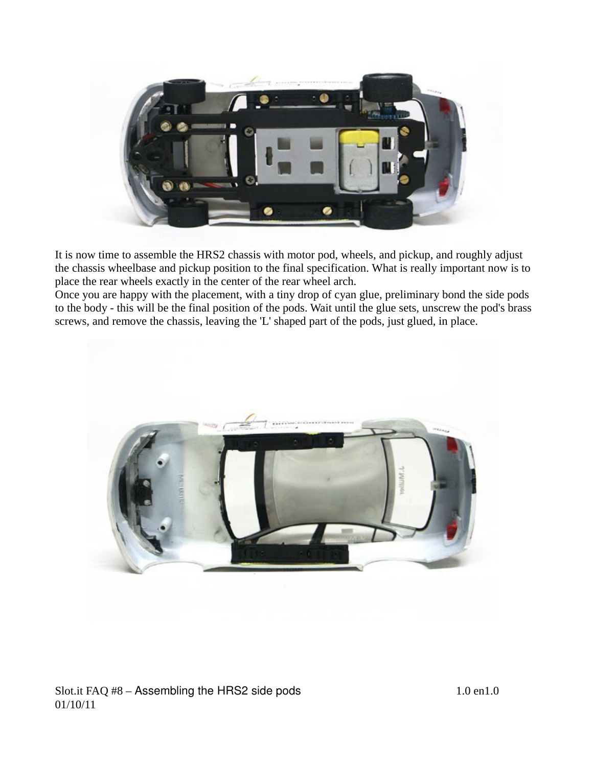

It is now time to assemble the HRS2 chassis with motor pod, wheels, and pickup, and roughly adjust the chassis wheelbase and pickup position to the final specification. What is really important now is to place the rear wheels exactly in the center of the rear wheel arch.

Once you are happy with the placement, with a tiny drop of cyan glue, preliminary bond the side pods to the body - this will be the final position of the pods. Wait until the glue sets, unscrew the pod's brass screws, and remove the chassis, leaving the 'L' shaped part of the pods, just glued, in place.

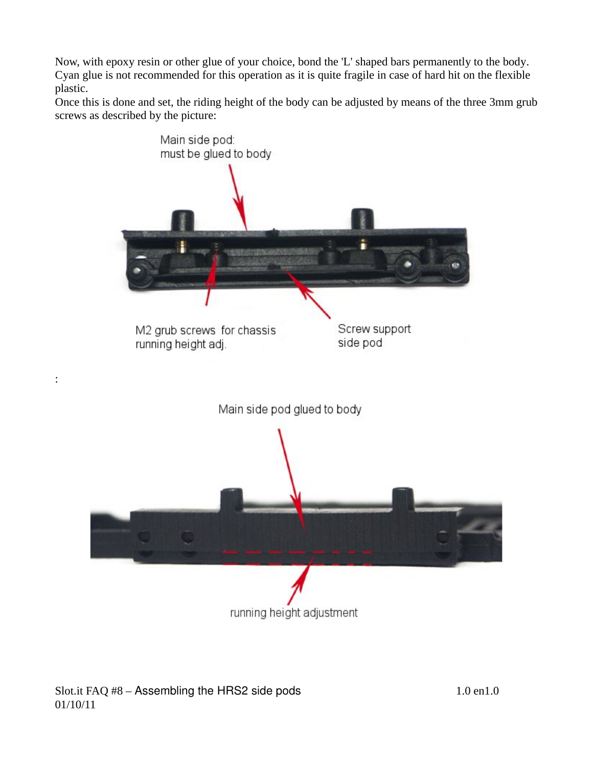Now, with epoxy resin or other glue of your choice, bond the 'L' shaped bars permanently to the body. Cyan glue is not recommended for this operation as it is quite fragile in case of hard hit on the flexible plastic.

Once this is done and set, the riding height of the body can be adjusted by means of the three 3mm grub screws as described by the picture:



Slot.it FAQ #8 – Assembling the HRS2 side pods 1.0 en1.0 01/10/11

: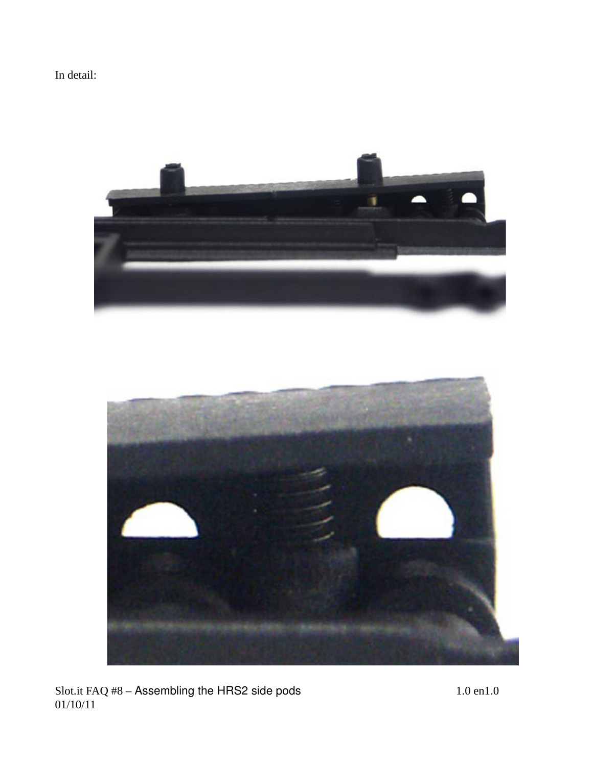